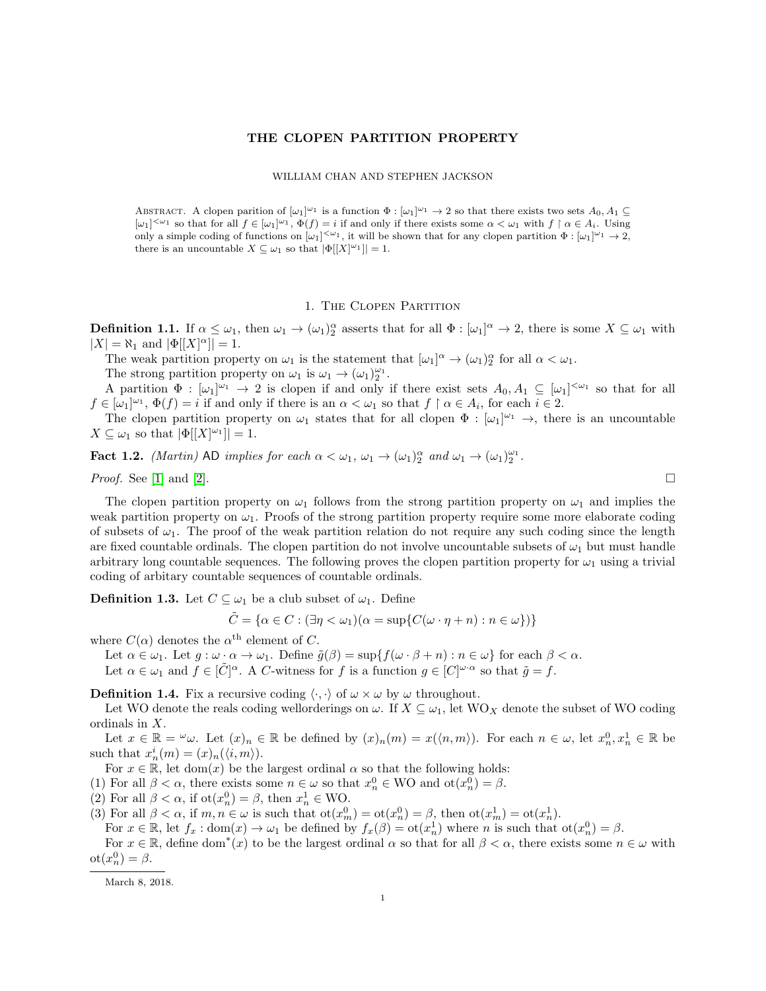## THE CLOPEN PARTITION PROPERTY

## WILLIAM CHAN AND STEPHEN JACKSON

ABSTRACT. A clopen parition of  $[\omega_1]^{\omega_1}$  is a function  $\Phi : [\omega_1]^{\omega_1} \to 2$  so that there exists two sets  $A_0, A_1 \subseteq$  $[\omega_1]^{<\omega_1}$  so that for all  $f \in [\omega_1]^{\omega_1}$ ,  $\Phi(f) = i$  if and only if there exists some  $\alpha < \omega_1$  with  $f \restriction \alpha \in A_i$ . Using only a simple coding of functions on  $[\omega_1]^{<\omega_1}$ , it will be shown that for any clopen partition  $\Phi : [\omega_1]^{\omega_1} \to 2$ , there is an uncountable  $X \subseteq \omega_1$  so that  $|\Phi[[X]^{2}]| = 1$ .

## 1. The Clopen Partition

**Definition 1.1.** If  $\alpha \leq \omega_1$ , then  $\omega_1 \to (\omega_1)_2^{\alpha}$  asserts that for all  $\Phi : [\omega_1]^{\alpha} \to 2$ , there is some  $X \subseteq \omega_1$  with  $|X| = \aleph_1$  and  $|\Phi[[X]^\alpha]| = 1$ .

The weak partition property on  $\omega_1$  is the statement that  $[\omega_1]^\alpha \to (\omega_1)_2^\alpha$  for all  $\alpha < \omega_1$ .

The strong partition property on  $\omega_1$  is  $\omega_1 \rightarrow (\omega_1)_2^{\omega_1}$ .

A partition  $\Phi : [\omega_1]^{\omega_1} \to 2$  is clopen if and only if there exist sets  $A_0, A_1 \subseteq [\omega_1]^{<\omega_1}$  so that for all  $f \in [\omega_1]^{\omega_1}, \Phi(f) = i$  if and only if there is an  $\alpha < \omega_1$  so that  $f \restriction \alpha \in A_i$ , for each  $i \in 2$ .

The clopen partition property on  $\omega_1$  states that for all clopen  $\Phi : [\omega_1]^{\omega_1} \to$ , there is an uncountable  $X \subseteq \omega_1$  so that  $|\Phi[[X]^{2}]| = 1$ .

**Fact 1.2.** (Martin) AD implies for each  $\alpha < \omega_1$ ,  $\omega_1 \rightarrow (\omega_1)_2^{\alpha}$  and  $\omega_1 \rightarrow (\omega_1)_2^{\omega_1}$ .

*Proof.* See [\[1\]](#page-2-0) and [\[2\]](#page-2-1).

The clopen partition property on  $\omega_1$  follows from the strong partition property on  $\omega_1$  and implies the weak partition property on  $\omega_1$ . Proofs of the strong partition property require some more elaborate coding of subsets of  $\omega_1$ . The proof of the weak partition relation do not require any such coding since the length are fixed countable ordinals. The clopen partition do not involve uncountable subsets of  $\omega_1$  but must handle arbitrary long countable sequences. The following proves the clopen partition property for  $\omega_1$  using a trivial coding of arbitary countable sequences of countable ordinals.

**Definition 1.3.** Let  $C \subseteq \omega_1$  be a club subset of  $\omega_1$ . Define

$$
\tilde{C} = \{ \alpha \in C : (\exists \eta < \omega_1)(\alpha = \sup \{ C(\omega \cdot \eta + n) : n \in \omega \}) \}
$$

where  $C(\alpha)$  denotes the  $\alpha^{\text{th}}$  element of C.

Let  $\alpha \in \omega_1$ . Let  $g : \omega \cdot \alpha \to \omega_1$ . Define  $\tilde{g}(\beta) = \sup \{f(\omega \cdot \beta + n) : n \in \omega\}$  for each  $\beta < \alpha$ .

Let  $\alpha \in \omega_1$  and  $f \in [\tilde{C}]^{\alpha}$ . A C-witness for f is a function  $g \in [C]^{\omega \cdot \alpha}$  so that  $\tilde{g} = f$ .

**Definition 1.4.** Fix a recursive coding  $\langle \cdot, \cdot \rangle$  of  $\omega \times \omega$  by  $\omega$  throughout.

Let WO denote the reals coding wellorderings on  $\omega$ . If  $X \subseteq \omega_1$ , let WO<sub>X</sub> denote the subset of WO coding ordinals in X.

Let  $x \in \mathbb{R} = \omega$ . Let  $(x)_n \in \mathbb{R}$  be defined by  $(x)_n(m) = x(\langle n,m \rangle)$ . For each  $n \in \omega$ , let  $x_n^0, x_n^1 \in \mathbb{R}$  be such that  $x_n^i(m) = (x)_n(\langle i, m \rangle)$ .

For  $x \in \mathbb{R}$ , let dom(x) be the largest ordinal  $\alpha$  so that the following holds:

(1) For all  $\beta < \alpha$ , there exists some  $n \in \omega$  so that  $x_n^0 \in WO$  and  $ot(x_n^0) = \beta$ .

(2) For all  $\beta < \alpha$ , if  $ot(x_n^0) = \beta$ , then  $x_n^1 \in WO$ .

(3) For all  $\beta < \alpha$ , if  $m, n \in \omega$  is such that  $\text{ot}(x_m^0) = \text{ot}(x_n^0) = \beta$ , then  $\text{ot}(x_m^1) = \text{ot}(x_n^1)$ .

For  $x \in \mathbb{R}$ , let  $f_x : dom(x) \to \omega_1$  be defined by  $f_x(\beta) = ot(x_n^1)$  where n is such that  $ot(x_n^0) = \beta$ .

For  $x \in \mathbb{R}$ , define dom<sup>\*</sup>(x) to be the largest ordinal  $\alpha$  so that for all  $\beta < \alpha$ , there exists some  $n \in \omega$  with  $ot(x_n^0) = \beta.$ 

March 8, 2018.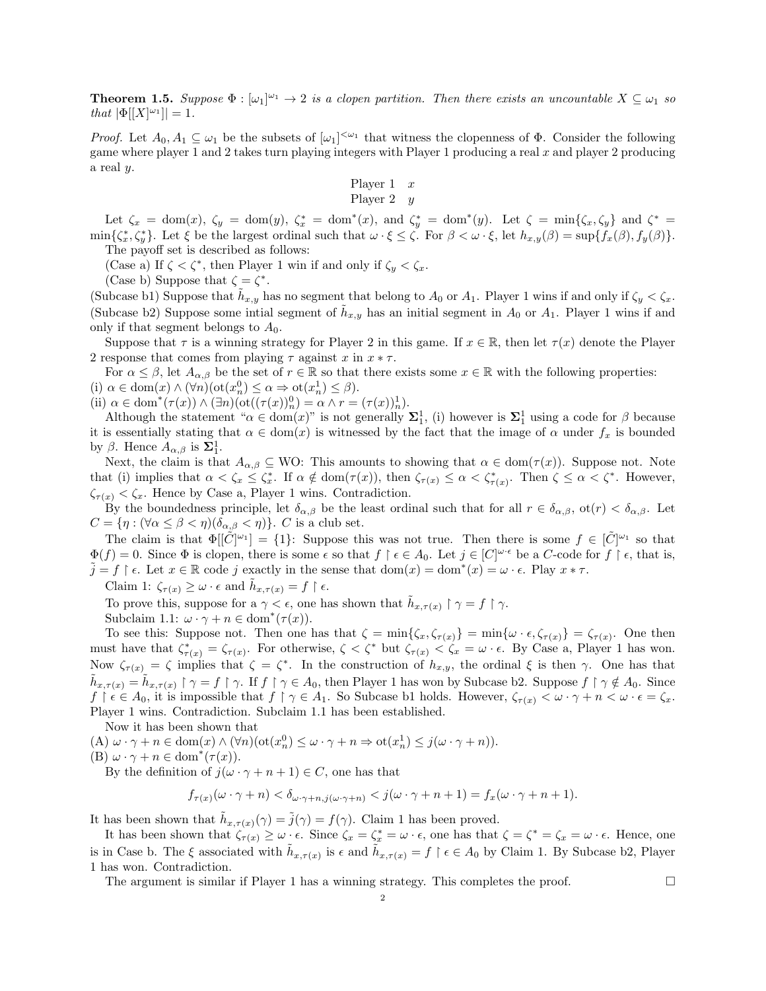**Theorem 1.5.** Suppose  $\Phi : [\omega_1]^{\omega_1} \to 2$  is a clopen partition. Then there exists an uncountable  $X \subseteq \omega_1$  so that  $|\Phi[[X]^{w_1}]| = 1$ .

*Proof.* Let  $A_0, A_1 \subseteq \omega_1$  be the subsets of  $[\omega_1]^{<\omega_1}$  that witness the clopenness of  $\Phi$ . Consider the following game where player 1 and 2 takes turn playing integers with Player 1 producing a real  $x$  and player 2 producing a real y.

$$
\begin{array}{ccc}\n\text{Player 1} & x \\
\text{Player 2} & y\n\end{array}
$$

Let  $\zeta_x = \text{dom}(x)$ ,  $\zeta_y = \text{dom}(y)$ ,  $\zeta_x^* = \text{dom}^*(x)$ , and  $\zeta_y^* = \text{dom}^*(y)$ . Let  $\zeta = \min{\{\zeta_x, \zeta_y\}}$  and  $\zeta^* = \frac{\zeta_y^*}{\zeta_y^*}$  $\min\{\zeta_x^*,\zeta_y^*\}.$  Let  $\xi$  be the largest ordinal such that  $\omega \cdot \xi \leq \zeta$ . For  $\beta < \omega \cdot \xi$ , let  $h_{x,y}(\beta) = \sup\{f_x(\beta), f_y(\beta)\}.$ The payoff set is described as follows:

(Case a) If  $\zeta < \zeta^*$ , then Player 1 win if and only if  $\zeta_y < \zeta_x$ .

(Case b) Suppose that  $\zeta = \zeta^*$ .

(Subcase b1) Suppose that  $\tilde{h}_{x,y}$  has no segment that belong to  $A_0$  or  $A_1$ . Player 1 wins if and only if  $\zeta_y < \zeta_x$ . (Subcase b2) Suppose some initial segment of  $\tilde{h}_{x,y}$  has an initial segment in  $A_0$  or  $A_1$ . Player 1 wins if and only if that segment belongs to  $A_0$ .

Suppose that  $\tau$  is a winning strategy for Player 2 in this game. If  $x \in \mathbb{R}$ , then let  $\tau(x)$  denote the Player 2 response that comes from playing  $\tau$  against x in  $x * \tau$ .

For  $\alpha \leq \beta$ , let  $A_{\alpha,\beta}$  be the set of  $r \in \mathbb{R}$  so that there exists some  $x \in \mathbb{R}$  with the following properties: (i)  $\alpha \in \text{dom}(x) \land (\forall n)(\text{ot}(x_n^0) \leq \alpha \Rightarrow \text{ot}(x_n^1) \leq \beta).$ 

(ii)  $\alpha \in \text{dom}^*(\tau(x)) \wedge (\exists n)(\text{ot}((\tau(x))_n^0) = \alpha \wedge r = (\tau(x))_n^1).$ 

Although the statement " $\alpha \in \text{dom}(x)$ " is not generally  $\Sigma_1^1$ , (i) however is  $\Sigma_1^1$  using a code for  $\beta$  because it is essentially stating that  $\alpha \in \text{dom}(x)$  is witnessed by the fact that the image of  $\alpha$  under  $f_x$  is bounded by  $\beta$ . Hence  $A_{\alpha,\beta}$  is  $\Sigma_1^1$ .

Next, the claim is that  $A_{\alpha,\beta} \subseteq WO$ : This amounts to showing that  $\alpha \in \text{dom}(\tau(x))$ . Suppose not. Note that (i) implies that  $\alpha < \zeta_x \leq \zeta_x^*$ . If  $\alpha \notin \text{dom}(\tau(x))$ , then  $\zeta_{\tau(x)} \leq \alpha < \zeta_{\tau(x)}^*$ . Then  $\zeta \leq \alpha < \zeta^*$ . However,  $\zeta_{\tau(x)} < \zeta_x$ . Hence by Case a, Player 1 wins. Contradiction.

By the boundedness principle, let  $\delta_{\alpha,\beta}$  be the least ordinal such that for all  $r \in \delta_{\alpha,\beta}$ ,  $\text{ot}(r) < \delta_{\alpha,\beta}$ . Let  $C = {\eta : (\forall \alpha \leq \beta < \eta)(\delta_{\alpha,\beta} < \eta)}$ . C is a club set.

The claim is that  $\Phi[[\tilde{C}]^{\omega_1}] = \{1\}$ : Suppose this was not true. Then there is some  $f \in [\tilde{C}]^{\omega_1}$  so that  $\Phi(f) = 0$ . Since  $\Phi$  is clopen, there is some  $\epsilon$  so that  $f \restriction \epsilon \in A_0$ . Let  $j \in [C]^{\omega \cdot \epsilon}$  be a C-code for  $f \restriction \epsilon$ , that is,  $\tilde{j} = f \restriction \epsilon$ . Let  $x \in \mathbb{R}$  code j exactly in the sense that  $dom(x) = dom^*(x) = \omega \cdot \epsilon$ . Play  $x * \tau$ .

Claim 1:  $\zeta_{\tau(x)} \geq \omega \cdot \epsilon$  and  $\tilde{h}_{x,\tau(x)} = f \upharpoonright \epsilon$ .

To prove this, suppose for a  $\gamma < \epsilon$ , one has shown that  $\tilde{h}_{x,\tau(x)} \restriction \gamma = f \restriction \gamma$ .

Subclaim 1.1:  $\omega \cdot \gamma + n \in \text{dom}^*(\tau(x)).$ 

To see this: Suppose not. Then one has that  $\zeta = \min\{\zeta_x, \zeta_{\tau(x)}\} = \min\{\omega \cdot \epsilon, \zeta_{\tau(x)}\} = \zeta_{\tau(x)}$ . One then must have that  $\zeta_{\tau(x)}^* = \zeta_{\tau(x)}$ . For otherwise,  $\zeta < \zeta^*$  but  $\zeta_{\tau(x)} < \zeta_x = \omega \cdot \epsilon$ . By Case a, Player 1 has won. Now  $\zeta_{\tau(x)} = \zeta$  implies that  $\zeta = \zeta^*$ . In the construction of  $h_{x,y}$ , the ordinal  $\xi$  is then  $\gamma$ . One has that  $\tilde{h}_{x,\tau(x)} = \tilde{h}_{x,\tau(x)} \restriction \gamma = f \restriction \gamma$ . If  $f \restriction \gamma \in A_0$ , then Player 1 has won by Subcase b2. Suppose  $f \restriction \gamma \notin A_0$ . Since  $f \restriction \epsilon \in A_0$ , it is impossible that  $f \restriction \gamma \in A_1$ . So Subcase b1 holds. However,  $\zeta_{\tau(x)} < \omega \cdot \gamma + n < \omega \cdot \epsilon = \zeta_x$ . Player 1 wins. Contradiction. Subclaim 1.1 has been established.

Now it has been shown that

(A)  $\omega \cdot \gamma + n \in \text{dom}(x) \land (\forall n)(\text{ot}(x_n^0) \leq \omega \cdot \gamma + n \Rightarrow \text{ot}(x_n^1) \leq j(\omega \cdot \gamma + n)).$ 

(B)  $\omega \cdot \gamma + n \in \text{dom}^*(\tau(x)).$ 

By the definition of  $j(\omega \cdot \gamma + n + 1) \in C$ , one has that

$$
f_{\tau(x)}(\omega \cdot \gamma + n) < \delta_{\omega \cdot \gamma + n, j(\omega \cdot \gamma + n)} < j(\omega \cdot \gamma + n + 1) = f_x(\omega \cdot \gamma + n + 1).
$$

It has been shown that  $\tilde{h}_{x,\tau(x)}(\gamma) = \tilde{j}(\gamma) = f(\gamma)$ . Claim 1 has been proved.

It has been shown that  $\zeta_{\tau(x)} \geq \omega \cdot \epsilon$ . Since  $\zeta_x = \zeta_x^* = \omega \cdot \epsilon$ , one has that  $\zeta = \zeta^* = \zeta_x = \omega \cdot \epsilon$ . Hence, one is in Case b. The  $\xi$  associated with  $\tilde{h}_{x,\tau(x)}$  is  $\epsilon$  and  $\tilde{h}_{x,\tau(x)} = f \restriction \epsilon \in A_0$  by Claim 1. By Subcase b2, Player 1 has won. Contradiction.

The argument is similar if Player 1 has a winning strategy. This completes the proof.  $\square$